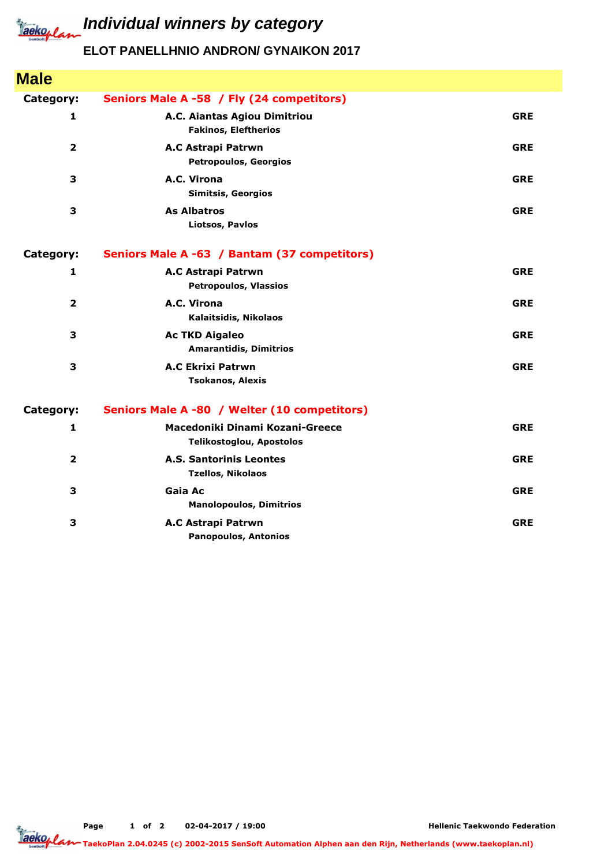

## *Iaeko<sub>plan</sub>* Individual winners by category

## **ELOT PANELLHNIO ANDRON/ GYNAIKON 2017**

| <b>Male</b>             |                                                                    |            |
|-------------------------|--------------------------------------------------------------------|------------|
| Category:               | Seniors Male A -58 / Fly (24 competitors)                          |            |
| $\mathbf{1}$            | A.C. Aiantas Agiou Dimitriou<br><b>Fakinos, Eleftherios</b>        | <b>GRE</b> |
| $\overline{\mathbf{2}}$ | A.C Astrapi Patrwn<br><b>Petropoulos, Georgios</b>                 | <b>GRE</b> |
| 3                       | A.C. Virona<br><b>Simitsis, Georgios</b>                           | <b>GRE</b> |
| 3                       | <b>As Albatros</b><br><b>Liotsos, Pavlos</b>                       | <b>GRE</b> |
| Category:               | Seniors Male A -63 / Bantam (37 competitors)                       |            |
| 1                       | A.C Astrapi Patrwn<br><b>Petropoulos, Vlassios</b>                 | <b>GRE</b> |
| $\overline{\mathbf{2}}$ | A.C. Virona<br>Kalaitsidis, Nikolaos                               | <b>GRE</b> |
| 3                       | <b>Ac TKD Aigaleo</b><br><b>Amarantidis, Dimitrios</b>             | <b>GRE</b> |
| 3                       | <b>A.C Ekrixi Patrwn</b><br><b>Tsokanos, Alexis</b>                | <b>GRE</b> |
| Category:               | Seniors Male A -80 / Welter (10 competitors)                       |            |
| 1                       | Macedoniki Dinami Kozani-Greece<br><b>Telikostoglou, Apostolos</b> | <b>GRE</b> |
| $\overline{\mathbf{2}}$ | <b>A.S. Santorinis Leontes</b><br><b>Tzellos, Nikolaos</b>         | <b>GRE</b> |
| 3                       | Gaia Ac<br><b>Manolopoulos, Dimitrios</b>                          | <b>GRE</b> |
| 3                       | A.C Astrapi Patrwn<br><b>Panopoulos, Antonios</b>                  | <b>GRE</b> |